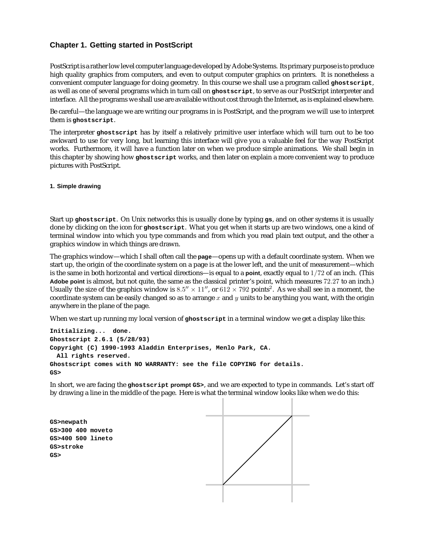# **Chapter 1. Getting started in PostScript**

PostScript is a rather low level computer language developed by Adobe Systems. Its primary purpose is to produce high quality graphics from computers, and even to output computer graphics on printers. It is nonetheless a convenient computer language for doing geometry. In this course we shall use a program called **ghostscript**, as well as one of several programs which in turn call on **ghostscript**, to serve as our PostScript interpreter and interface. All the programs we shall use are available without cost through the Internet, as is explained elsewhere.

Be careful—the language we are writing our programs in is PostScript, and the program we will use to interpret them is **ghostscript**.

The interpreter **ghostscript** has by itself a relatively primitive user interface which will turn out to be too awkward to use for very long, but learning this interface will give you a valuable feel for the way PostScript works. Furthermore, it will have a function later on when we produce simple animations. We shall begin in this chapter by showing how **ghostscript** works, and then later on explain a more convenient way to produce pictures with PostScript.

**1. Simple drawing**

Start up **ghostscript**. On Unix networks this is usually done by typing **gs**, and on other systems it is usually done by clicking on the icon for **ghostscript**. What you get when it starts up are two windows, one a kind of terminal window into which you type commands and from which you read plain text output, and the other a graphics window in which things are drawn.

The graphics window—which I shall often call the **page**—opens up with a default coordinate system. When we start up, the origin of the coordinate system on a page is at the lower left, and the unit of measurement—which is the same in both horizontal and vertical directions—is equal to a **point**, exactly equal to 1/72 of an inch. (This **Adobe point** is almost, but not quite, the same as the classical printer's point, which measures 72.27 to an inch.) Usually the size of the graphics window is  $8.5'' \times 11''$ , or  $612 \times 792$  points<sup>2</sup>. As we shall see in a moment, the coordinate system can be easily changed so as to arrange x and  $\eta$  units to be anything you want, with the origin anywhere in the plane of the page.

When we start up running my local version of **ghostscript** in a terminal window we get a display like this:

```
Initializing... done.
Ghostscript 2.6.1 (5/28/93)
Copyright (C) 1990-1993 Aladdin Enterprises, Menlo Park, CA.
 All rights reserved.
Ghostscript comes with NO WARRANTY: see the file COPYING for details.
GS>
```
In short, we are facing the **ghostscript prompt GS>**, and we are expected to type in commands. Let's start off by drawing a line in the middle of the page. Here is what the terminal window looks like when we do this:

**GS>newpath GS>300 400 moveto GS>400 500 lineto GS>stroke GS>**

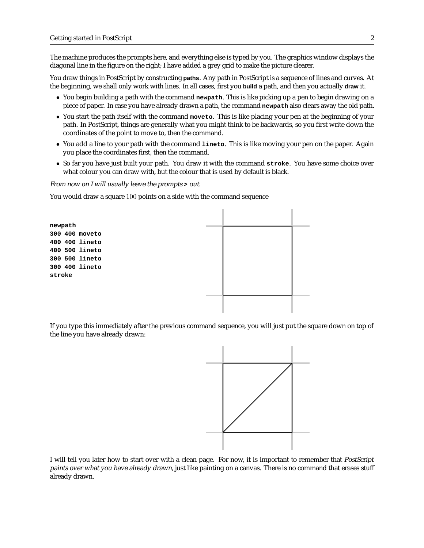The machine produces the prompts here, and everything else is typed by you. The graphics window displays the diagonal line in the figure on the right; I have added a grey grid to make the picture clearer.

You draw things in PostScript by constructing **paths**. Any path in PostScript is a sequence of lines and curves. At the beginning, we shall only work with lines. In all cases, first you **build** a path, and then you actually **draw** it.

- You begin building a path with the command **newpath**. This is like picking up a pen to begin drawing on a piece of paper. In case you have already drawn a path, the command **newpath** also clears away the old path.
- You start the path itself with the command **moveto**. This is like placing your pen at the beginning of your path. In PostScript, things are generally what you might think to be backwards, so you first write down the coordinates of the point to move to, then the command.
- You add a line to your path with the command **lineto**. This is like moving your pen on the paper. Again you place the coordinates first, then the command.
- So far you have just built your path. You draw it with the command **stroke**. You have some choice over what colour you can draw with, but the colour that is used by default is black.

From now on I will usually leave the prompts **>** out.

You would draw a square 100 points on a side with the command sequence



If you type this immediately after the previous command sequence, you will just put the square down on top of the line you have already drawn:



I will tell you later how to start over with a clean page. For now, it is important to remember that PostScript paints over what you have already drawn, just like painting on a canvas. There is no command that erases stuff already drawn.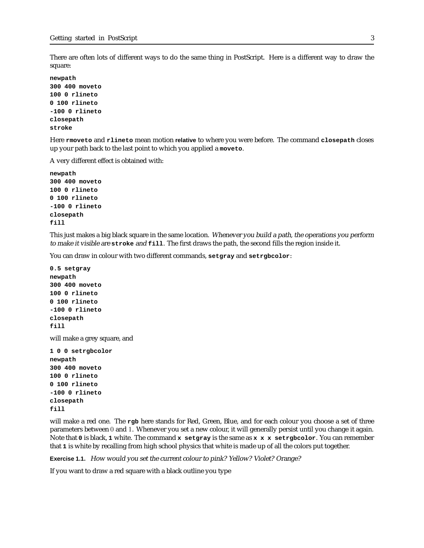There are often lots of different ways to do the same thing in PostScript. Here is a different way to draw the square:

**newpath 300 400 moveto 100 0 rlineto 0 100 rlineto -100 0 rlineto closepath stroke**

Here **rmoveto** and **rlineto** mean motion **relative** to where you were before. The command **closepath** closes up your path back to the last point to which you applied a **moveto**.

A very different effect is obtained with:

**newpath 300 400 moveto 100 0 rlineto 0 100 rlineto -100 0 rlineto closepath fill**

This just makes a big black square in the same location. Whenever you build <sup>a</sup> path, the operations you perform to make it visible are **stroke** and **fill**. The first draws the path, the second fills the region inside it.

You can draw in colour with two different commands, **setgray** and **setrgbcolor**:

**0.5 setgray newpath 300 400 moveto 100 0 rlineto 0 100 rlineto -100 0 rlineto closepath fill**

will make a grey square, and

**1 0 0 setrgbcolor newpath 300 400 moveto 100 0 rlineto 0 100 rlineto -100 0 rlineto closepath fill**

will make a red one. The **rgb** here stands for Red, Green, Blue, and for each colour you choose a set of three parameters between 0 and 1. Whenever you set a new colour, it will generally persist until you change it again. Note that **0** is black, **1** white. The command **x setgray** is the same as **x x x setrgbcolor**. You can remember that **1** is white by recalling from high school physics that white is made up of all the colors put together.

**Exercise 1.1.** How would you set the current colour to pink? Yellow? Violet? Orange?

If you want to draw a red square with a black outline you type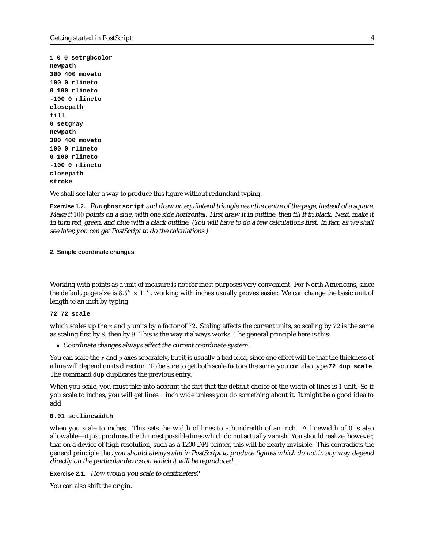**1 0 0 setrgbcolor newpath 300 400 moveto 100 0 rlineto 0 100 rlineto -100 0 rlineto closepath fill 0 setgray newpath 300 400 moveto 100 0 rlineto 0 100 rlineto -100 0 rlineto closepath stroke**

We shall see later a way to produce this figure without redundant typing.

**Exercise 1.2.** Run **ghostscript** and draw an equilateral triangle near the centre of the page, instead of <sup>a</sup> square. Make it 100 points on <sup>a</sup> side, with one side horizontal. First draw it in outline, then fill it in black. Next, make it in turn red, green, and blue with <sup>a</sup> black outline. (You will have to do <sup>a</sup> few calculations first. In fact, as we shall see later, you can get PostScript to do the calculations.)

### **2. Simple coordinate changes**

Working with points as a unit of measure is not for most purposes very convenient. For North Americans, since the default page size is  $8.5'' \times 11''$ , working with inches usually proves easier. We can change the basic unit of length to an inch by typing

### **72 72 scale**

which scales up the x and y units by a factor of 72. Scaling affects the current units, so scaling by 72 is the same as scaling first by 8, then by 9. This is the way it always works. The general principle here is this:

• Coordinate changes always affect the current coordinate system.

You can scale the x and y axes separately, but it is usually a bad idea, since one effect will be that the thickness of a line will depend on its direction. To be sure to get both scale factors the same, you can also type **72 dup scale**. The command **dup** duplicates the previous entry.

When you scale, you must take into account the fact that the default choice of the width of lines is 1 unit. So if you scale to inches, you will get lines 1 inch wide unless you do something about it. It might be a good idea to add

### **0.01 setlinewidth**

when you scale to inches. This sets the width of lines to a hundredth of an inch. A linewidth of 0 is also allowable—it just produces the thinnest possible lines which do not actually vanish. You should realize, however, that on a device of high resolution, such as a 1200 DPI printer, this will be nearly invisible. This contradicts the general principle that you should always aim in PostScript to produce figures which do not in any way depend directly on the particular device on which it will be reproduced.

**Exercise 2.1.** How would you scale to centimeters?

You can also shift the origin.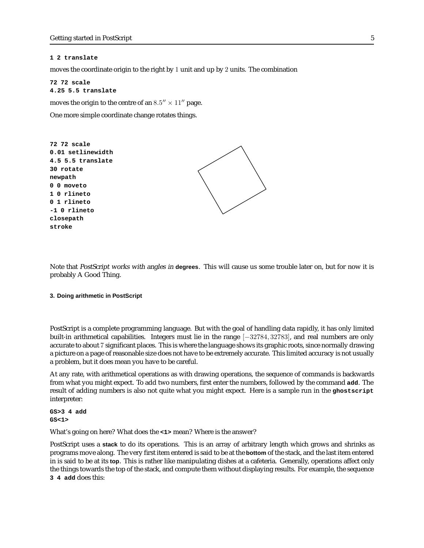#### **1 2 translate**

moves the coordinate origin to the right by 1 unit and up by 2 units. The combination

**72 72 scale 4.25 5.5 translate**

moves the origin to the centre of an  $8.5'' \times 11''$  page.

One more simple coordinate change rotates things.



Note that PostScript works with angles in **degrees**. This will cause us some trouble later on, but for now it is probably A Good Thing.

### **3. Doing arithmetic in PostScript**

PostScript is a complete programming language. But with the goal of handling data rapidly, it has only limited built-in arithmetical capabilities. Integers must lie in the range [−32784, 32783], and real numbers are only accurate to about 7 significant places. This is where the language shows its graphic roots, since normally drawing a picture on a page of reasonable size does not have to be extremely accurate. This limited accuracy is not usually a problem, but it does mean you have to be careful.

At any rate, with arithmetical operations as with drawing operations, the sequence of commands is backwards from what you might expect. To add two numbers, first enter the numbers, followed by the command **add**. The result of adding numbers is also not quite what you might expect. Here is a sample run in the **ghostscript** interpreter:

**GS>3 4 add GS<1>**

What's going on here? What does the **<1>** mean? Where is the answer?

PostScript uses a **stack** to do its operations. This is an array of arbitrary length which grows and shrinks as programs move along. The very first item entered is said to be at the **bottom** of the stack, and the last item entered in is said to be at its **top**. This is rather like manipulating dishes at a cafeteria. Generally, operations affect only the things towards the top of the stack, and compute them without displaying results. For example, the sequence **3 4 add** does this: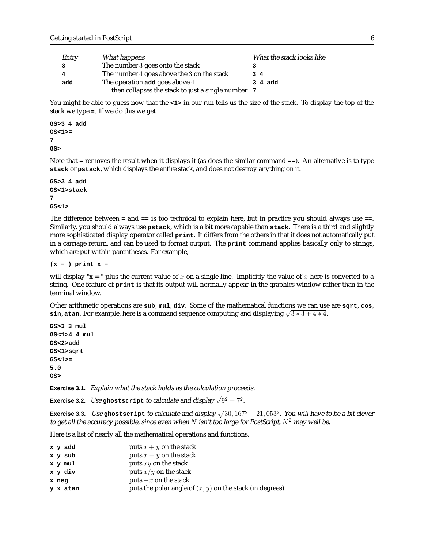| Entry | What happens                                                | What the stack looks like |
|-------|-------------------------------------------------------------|---------------------------|
|       | The number 3 goes onto the stack                            |                           |
| 4     | The number 4 goes above the 3 on the stack                  | 34                        |
| add   | The operation add goes above $4 \ldots$                     | 3 4 add                   |
|       | $\ldots$ then collapses the stack to just a single number 7 |                           |

You might be able to guess now that the  $\leq 1$  in our run tells us the size of the stack. To display the top of the stack we type **=**. If we do this we get

**GS>3 4 add GS<1>= 7 GS>**

Note that **=** removes the result when it displays it (as does the similar command **==**). An alternative is to type **stack** or **pstack**, which displays the entire stack, and does not destroy anything on it.

```
GS>3 4 add
GS<1>stack
7
GS<1>
```
The difference between **=** and **==** is too technical to explain here, but in practice you should always use **==**. Similarly, you should always use **pstack**, which is a bit more capable than **stack**. There is a third and slightly more sophisticated display operator called **print**. It differs from the others in that it does not automatically put in a carriage return, and can be used to format output. The **print** command applies basically only to strings, which are put within parentheses. For example,

**(x = ) print x =**

will display " $x =$ " plus the current value of x on a single line. Implicitly the value of x here is converted to a string. One feature of **print** is that its output will normally appear in the graphics window rather than in the terminal window.

Other arithmetic operations are **sub**, **mul**, **div**. Some of the mathematical functions we can use are **sqrt**, **cos**, **sin, atan.** For example, here is a command sequence computing and displaying  $\sqrt{3} \times 3 + 4 \times 4$ .

**GS>3 3 mul GS<1>4 4 mul GS<2>add GS<1>sqrt GS<1>= 5.0 GS>**

**Exercise 3.1.** Explain what the stack holds as the calculation proceeds.

**Exercise 3.2.** Use ghostscript to calculate and display  $\sqrt{9^2 + 7^2}$ .

**Exercise 3.3.** Use ghostscript to calculate and display  $\sqrt{30, 167^2 + 21, 053^2}$ . You will have to be a bit clever to get all the accuracy possible, since even when  $N$  isn't too large for PostScript,  $N^2$  may well be.

Here is a list of nearly all the mathematical operations and functions.

| x y add  | puts $x + y$ on the stack                                  |
|----------|------------------------------------------------------------|
| x y sub  | puts $x - y$ on the stack                                  |
| x y mul  | puts $xy$ on the stack                                     |
| x y div  | puts $x/y$ on the stack                                    |
| x neg    | puts $-x$ on the stack                                     |
| y x atan | puts the polar angle of $(x, y)$ on the stack (in degrees) |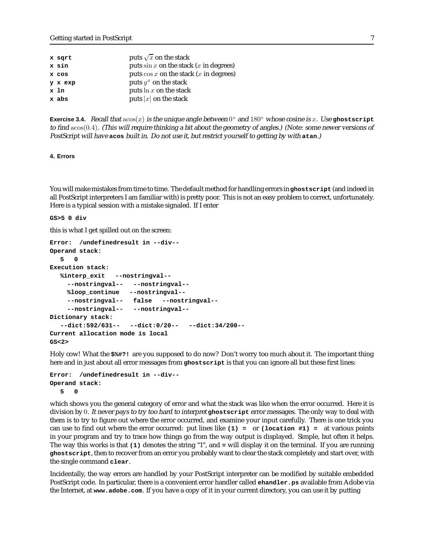| x sqrt  | puts $\sqrt{x}$ on the stack              |
|---------|-------------------------------------------|
| x sin   | puts $\sin x$ on the stack (x in degrees) |
| x cos   | puts $\cos x$ on the stack (x in degrees) |
| y x exp | puts $y^x$ on the stack                   |
| x 1n    | puts $\ln x$ on the stack                 |
| x abs   | puts $ x $ on the stack                   |
|         |                                           |

**Exercise 3.4.** Recall that  $a\cos(x)$  is the unique angle between  $0^\circ$  and  $180^\circ$  whose cosine is x. Use ghostscript to find acos(0.4). (This will require thinking <sup>a</sup> bit about the geometry of angles.) (Note: some newer versions of PostScript will have **acos** built in. Do not use it, but restrict yourself to getting by with **atan**.)

**4. Errors**

You will make mistakes from time to time. The default method for handling errors in **ghostscript** (and indeed in all PostScript interpreters I am familiar with) is pretty poor. This is not an easy problem to correct, unfortunately. Here is a typical session with a mistake signaled. If I enter

**GS>5 0 div**

this is what I get spilled out on the screen:

```
Error: /undefinedresult in --div--
Operand stack:
  5 0
Execution stack:
  %interp_exit --nostringval--
    --nostringval-- --nostringval--
    %loop_continue --nostringval--
    --nostringval-- false --nostringval--
    --nostringval-- --nostringval--
Dictionary stack:
  --dict:592/631-- --dict:0/20-- --dict:34/200--
Current allocation mode is local
GS<2>
```
Holy cow! What the **\$%#?!** are you supposed to do now? Don't worry too much about it. The important thing here and in just about all error messages from **ghostscript** is that you can ignore all but these first lines:

```
Error: /undefinedresult in --div--
Operand stack:
  5 0
```
which shows you the general category of error and what the stack was like when the error occurred. Here it is division by 0. It never pays to try too hard to interpret **ghostscript** error messages. The only way to deal with them is to try to figure out where the error occurred, and examine your input carefully. There is one trick you can use to find out where the error occurred: put lines like **(1) =** or **(location #1) =** at various points in your program and try to trace how things go from the way output is displayed. Simple, but often it helps. The way this works is that **(1)** denotes the string "1", and **=** will display it on the terminal. If you are running **ghostscript**, then to recover from an error you probably want to clear the stack completely and start over, with the single command **clear**.

Incidentally, the way errors are handled by your PostScript interpreter can be modified by suitable embedded PostScript code. In particular, there is a convenient error handler called **ehandler.ps** available from Adobe via the Internet, at **www.adobe.com**. If you have a copy of it in your current directory, you can use it by putting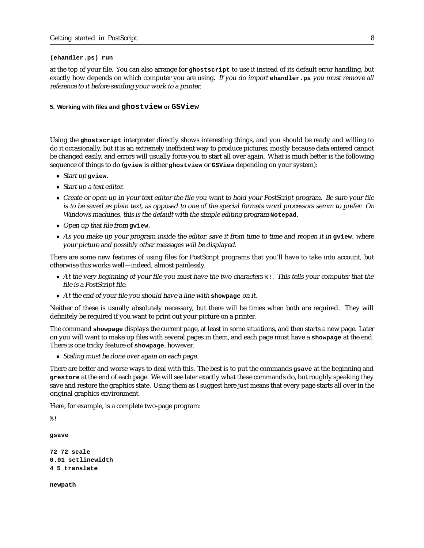#### **(ehandler.ps) run**

at the top of your file. You can also arrange for **ghostscript** to use it instead of its default error handling, but exactly how depends on which computer you are using. If you do import **ehandler.ps** you must remove all reference to it before sending your work to <sup>a</sup> printer.

### **5. Working with files and ghostview or GSView**

Using the **ghostscript** interpreter directly shows interesting things, and you should be ready and willing to do it occasionally, but it is an extremely inefficient way to produce pictures, mostly because data entered cannot be changed easily, and errors will usually force you to start all over again. What is much better is the following sequence of things to do (**gview** is either **ghostview** or **GSView** depending on your system):

- Start up **gview**.
- *Start up a text editor.*
- Create or open up in your text editor the file you want to hold your PostScript program. Be sure your file is to be saved as plain text, as opposed to one of the special formats word processors semm to prefer. On Windows machines, this is the default with the simple editing program **Notepad**.
- Open up that file from **gview**.
- As you make up your program inside the editor, save it from time to time and reopen it in **gview**, where your picture and possibly other messages will be displayed.

There are some new features of using files for PostScript programs that you'll have to take into account, but otherwise this works well—indeed, almost painlessly.

- At the very beginning of your file you must have the two characters **%!**. This tells your computer that the file is <sup>a</sup> PostScript file.
- At the end of your file you should have <sup>a</sup> line with **showpage** on it.

Neither of these is usually absolutely necessary, but there will be times when both are required. They will definitely be required if you want to print out your picture on a printer.

The command **showpage** displays the current page, at least in some situations, and then starts a new page. Later on you will want to make up files with several pages in them, and each page must have a **showpage** at the end. There is one tricky feature of **showpage**, however.

• Scaling must be done over again on each page.

There are better and worse ways to deal with this. The best is to put the commands **gsave** at the beginning and **grestore** at the end of each page. We will see later exactly what these commands do, but roughly speaking they save and restore the graphics state. Using them as I suggest here just means that every page starts all over in the original graphics environment.

Here, for example, is a complete two-page program:

```
%!
```
**gsave**

```
72 72 scale
0.01 setlinewidth
4 5 translate
```
**newpath**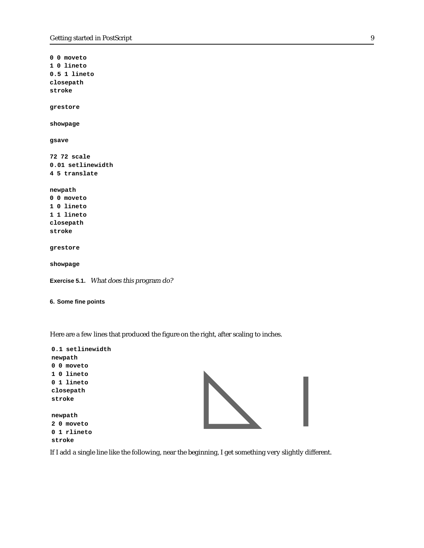**0 0 moveto 1 0 lineto 0.5 1 lineto closepath stroke grestore showpage gsave 72 72 scale 0.01 setlinewidth 4 5 translate newpath 0 0 moveto 1 0 lineto 1 1 lineto closepath stroke grestore showpage Exercise 5.1.** What does this program do? **6. Some fine points**

Here are a few lines that produced the figure on the right, after scaling to inches.

| 0.1 setlinewidth |  |
|------------------|--|
| newpath          |  |
| 0 0 moveto       |  |
| 1 0 lineto       |  |
| 0 1 lineto       |  |
| closepath        |  |
| stroke           |  |
|                  |  |
| newpath          |  |
| 2 0 moveto       |  |
| 0 1 rlineto      |  |
| stroke           |  |

If I add a single line like the following, near the beginning, I get something very slightly different.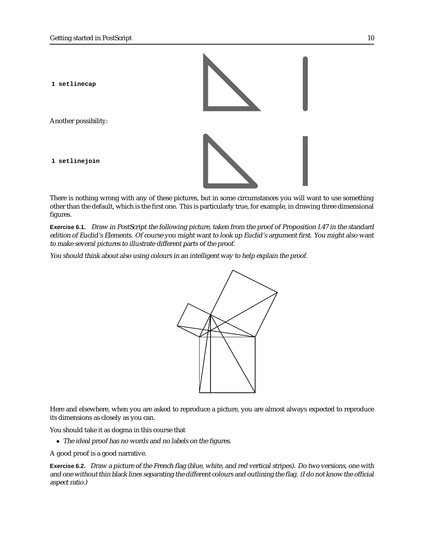

Another possibility:

**1 setlinejoin**



There is nothing wrong with any of these pictures, but in some circumstances you will want to use something other than the default, which is the first one. This is particularly true, for example, in drawing three dimensional figures.

**Exercise 6.1.** Draw in PostScript the following picture, taken from the proof of Proposition I.47 in the standard edition of Euclid's Elements. Of course you might want to look up Euclid's argument first. You might also want to make several pictures to illustrate different parts of the proof.

You should think about also using colours in an intelligent way to help explain the proof.



Here and elsewhere, when you are asked to reproduce a picture, you are almost always expected to reproduce its dimensions as closely as you can.

You should take it as dogma in this course that

• The ideal proof has no words and no labels on the figures.

A good proof is a good narrative.

**Exercise 6.2.** Draw <sup>a</sup> picture of the French flag (blue, white, and red vertical stripes). Do two versions, one with and one without thin black lines separating the different colours and outlining the flag. (I do not know the official aspect ratio.)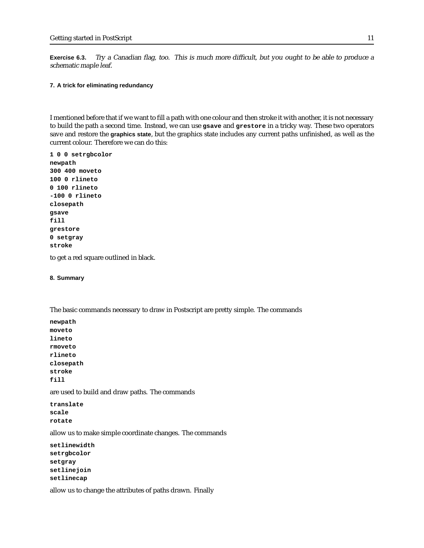**Exercise 6.3.** Try <sup>a</sup> Canadian flag, too. This is much more difficult, but you ought to be able to produce <sup>a</sup> schematic maple leaf.

## **7. A trick for eliminating redundancy**

I mentioned before that if we want to fill a path with one colour and then stroke it with another, it is not necessary to build the path a second time. Instead, we can use **gsave** and **grestore** in a tricky way. These two operators save and restore the **graphics state**, but the graphics state includes any current paths unfinished, as well as the current colour. Therefore we can do this:

**1 0 0 setrgbcolor newpath 300 400 moveto 100 0 rlineto 0 100 rlineto -100 0 rlineto closepath gsave fill grestore 0 setgray stroke**

to get a red square outlined in black.

### **8. Summary**

The basic commands necessary to draw in Postscript are pretty simple. The commands

**newpath moveto lineto rmoveto rlineto closepath stroke fill**

are used to build and draw paths. The commands

**translate scale rotate**

allow us to make simple coordinate changes. The commands

```
setlinewidth
setrgbcolor
setgray
setlinejoin
setlinecap
```
allow us to change the attributes of paths drawn. Finally